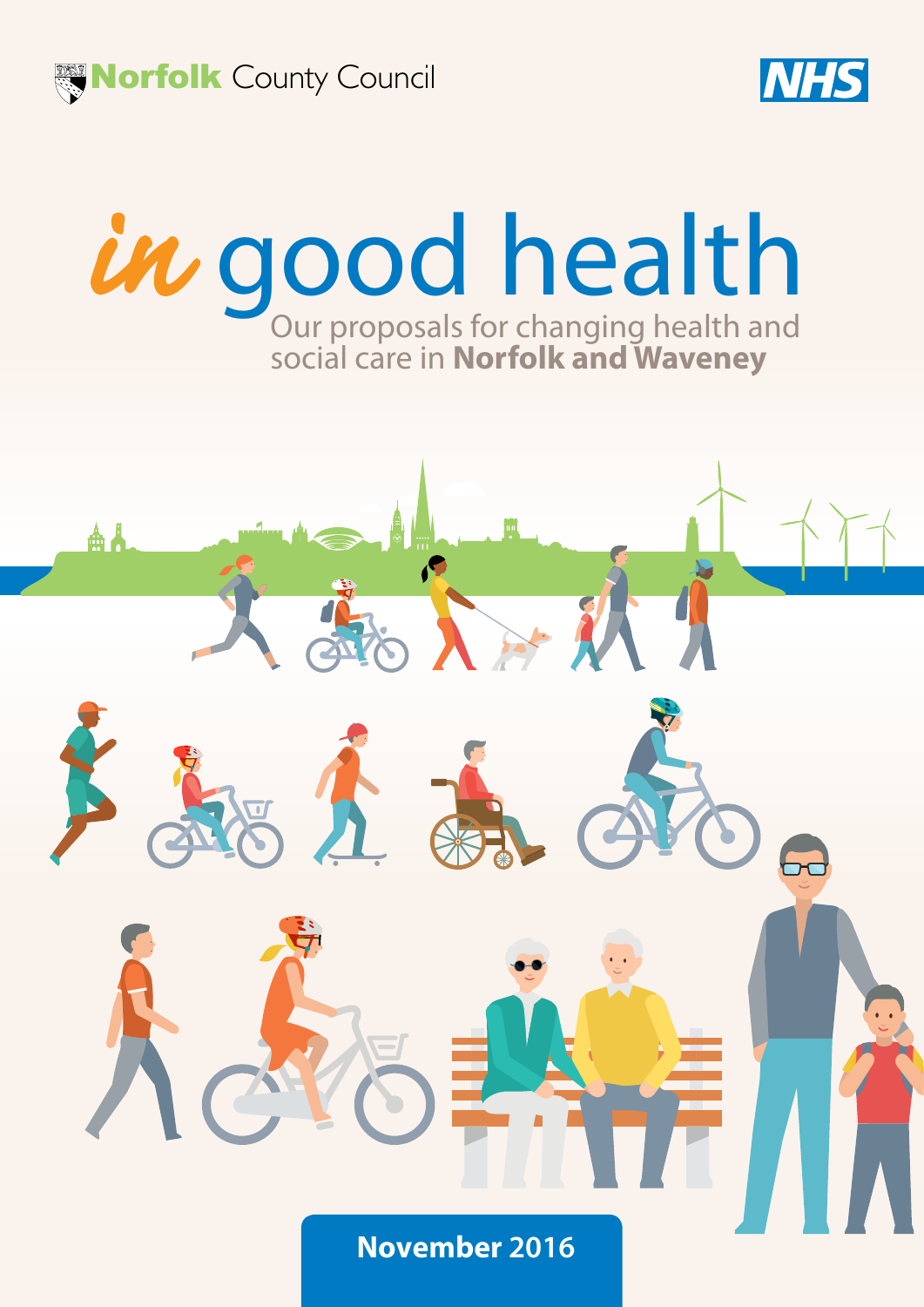

കൃ



# Our proposals for changing health and social care in **Norfolk and Waveney** in good health

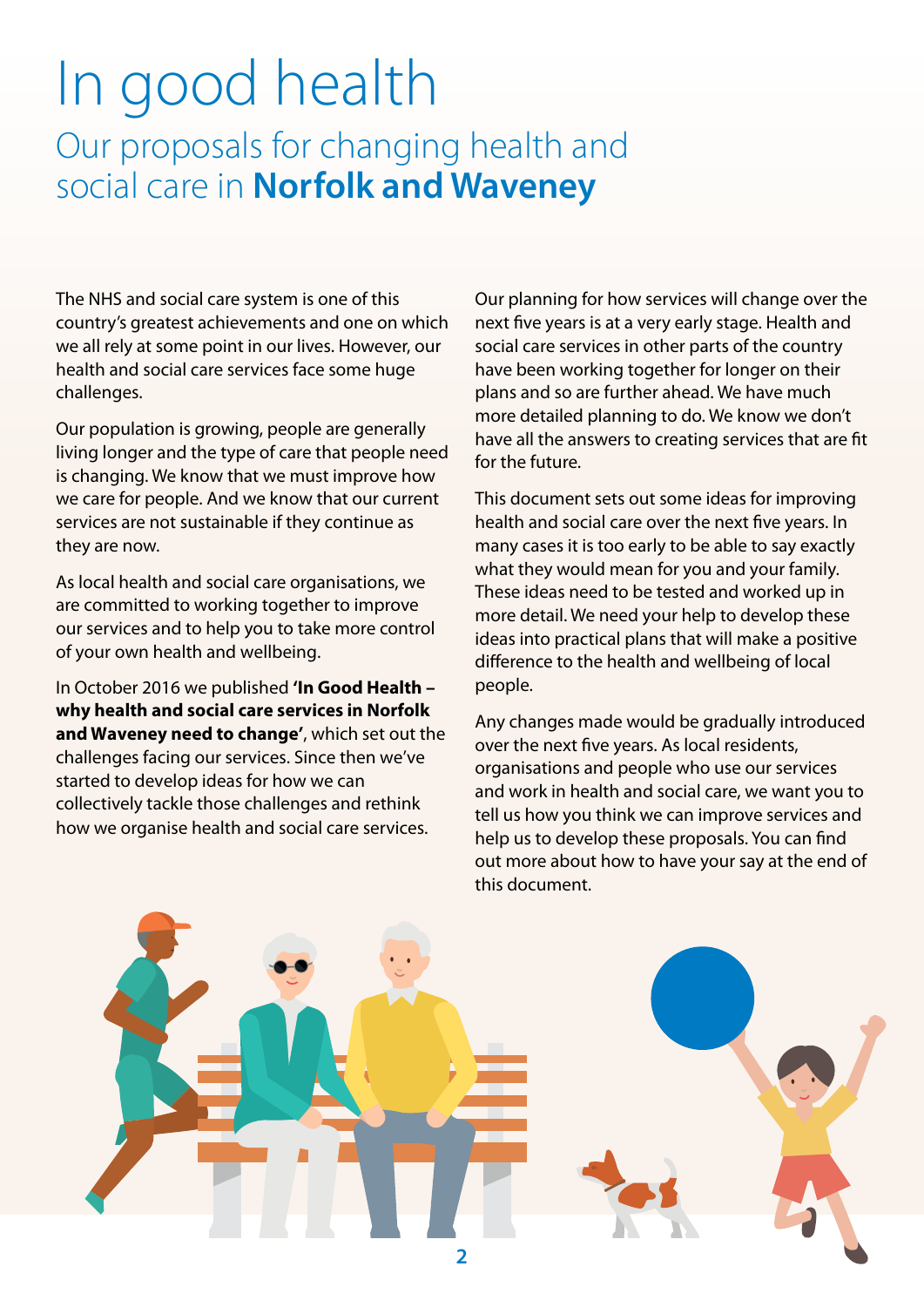## In good health Our proposals for changing health and social care in **Norfolk and Waveney**

The NHS and social care system is one of this country's greatest achievements and one on which we all rely at some point in our lives. However, our health and social care services face some huge challenges.

Our population is growing, people are generally living longer and the type of care that people need is changing. We know that we must improve how we care for people. And we know that our current services are not sustainable if they continue as they are now.

As local health and social care organisations, we are committed to working together to improve our services and to help you to take more control of your own health and wellbeing.

In October 2016 we published **'In Good Health – why health and social care services in Norfolk and Waveney need to change'**, which set out the challenges facing our services. Since then we've started to develop ideas for how we can collectively tackle those challenges and rethink how we organise health and social care services.

Our planning for how services will change over the next five years is at a very early stage. Health and social care services in other parts of the country have been working together for longer on their plans and so are further ahead. We have much more detailed planning to do. We know we don't have all the answers to creating services that are fit for the future.

This document sets out some ideas for improving health and social care over the next five years. In many cases it is too early to be able to say exactly what they would mean for you and your family. These ideas need to be tested and worked up in more detail. We need your help to develop these ideas into practical plans that will make a positive difference to the health and wellbeing of local people.

Any changes made would be gradually introduced over the next five years. As local residents, organisations and people who use our services and work in health and social care, we want you to tell us how you think we can improve services and help us to develop these proposals. You can find out more about how to have your say at the end of this document.

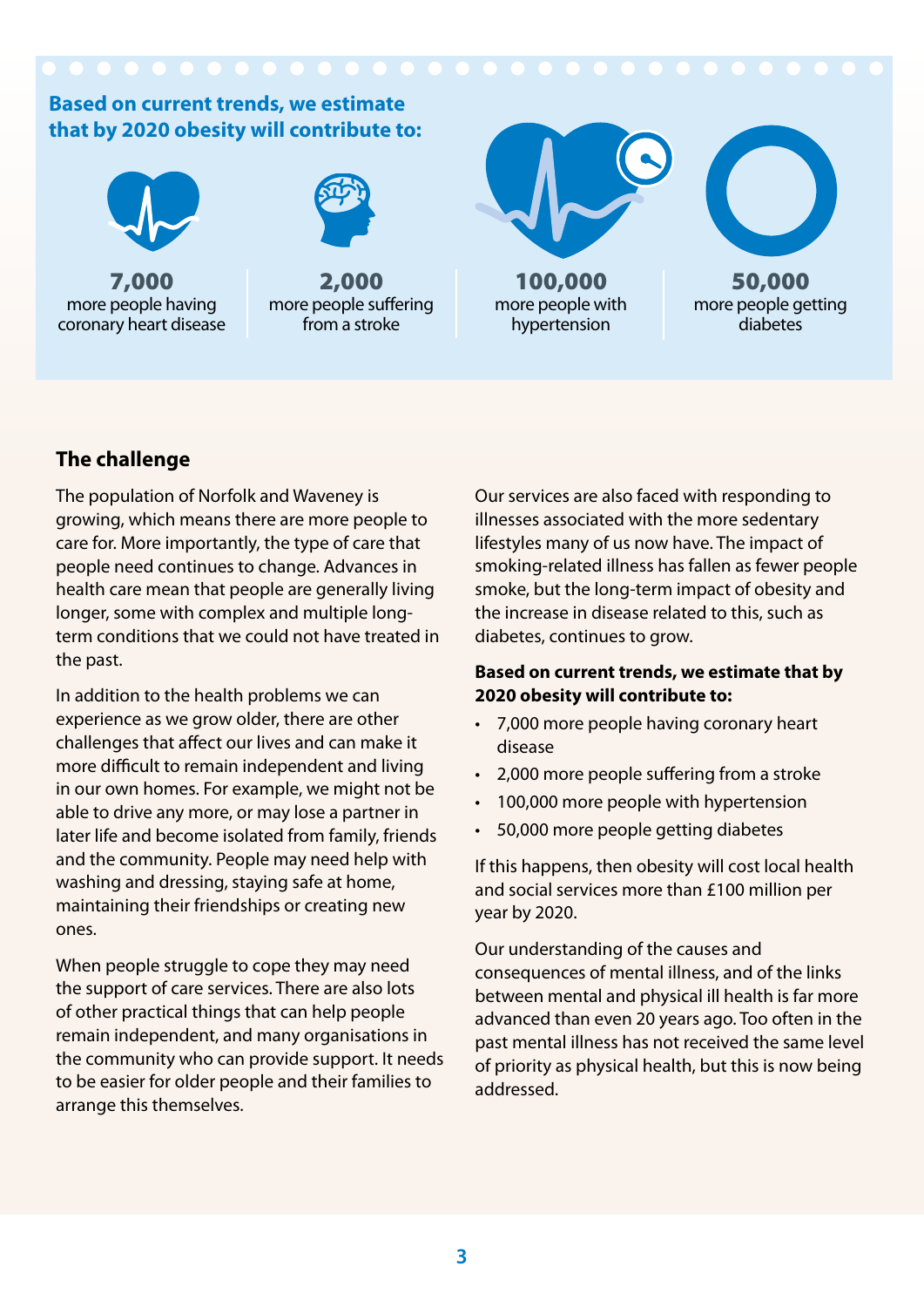

### **The challenge**

The population of Norfolk and Waveney is growing, which means there are more people to care for. More importantly, the type of care that people need continues to change. Advances in health care mean that people are generally living longer, some with complex and multiple longterm conditions that we could not have treated in the past.

In addition to the health problems we can experience as we grow older, there are other challenges that affect our lives and can make it more difficult to remain independent and living in our own homes. For example, we might not be able to drive any more, or may lose a partner in later life and become isolated from family, friends and the community. People may need help with washing and dressing, staying safe at home, maintaining their friendships or creating new ones.

When people struggle to cope they may need the support of care services. There are also lots of other practical things that can help people remain independent, and many organisations in the community who can provide support. It needs to be easier for older people and their families to arrange this themselves.

Our services are also faced with responding to illnesses associated with the more sedentary lifestyles many of us now have. The impact of smoking-related illness has fallen as fewer people smoke, but the long-term impact of obesity and the increase in disease related to this, such as diabetes, continues to grow.

#### **Based on current trends, we estimate that by 2020 obesity will contribute to:**

- 7,000 more people having coronary heart disease
- 2,000 more people suffering from a stroke
- 100,000 more people with hypertension
- 50,000 more people getting diabetes

If this happens, then obesity will cost local health and social services more than £100 million per year by 2020.

Our understanding of the causes and consequences of mental illness, and of the links between mental and physical ill health is far more advanced than even 20 years ago. Too often in the past mental illness has not received the same level of priority as physical health, but this is now being addressed.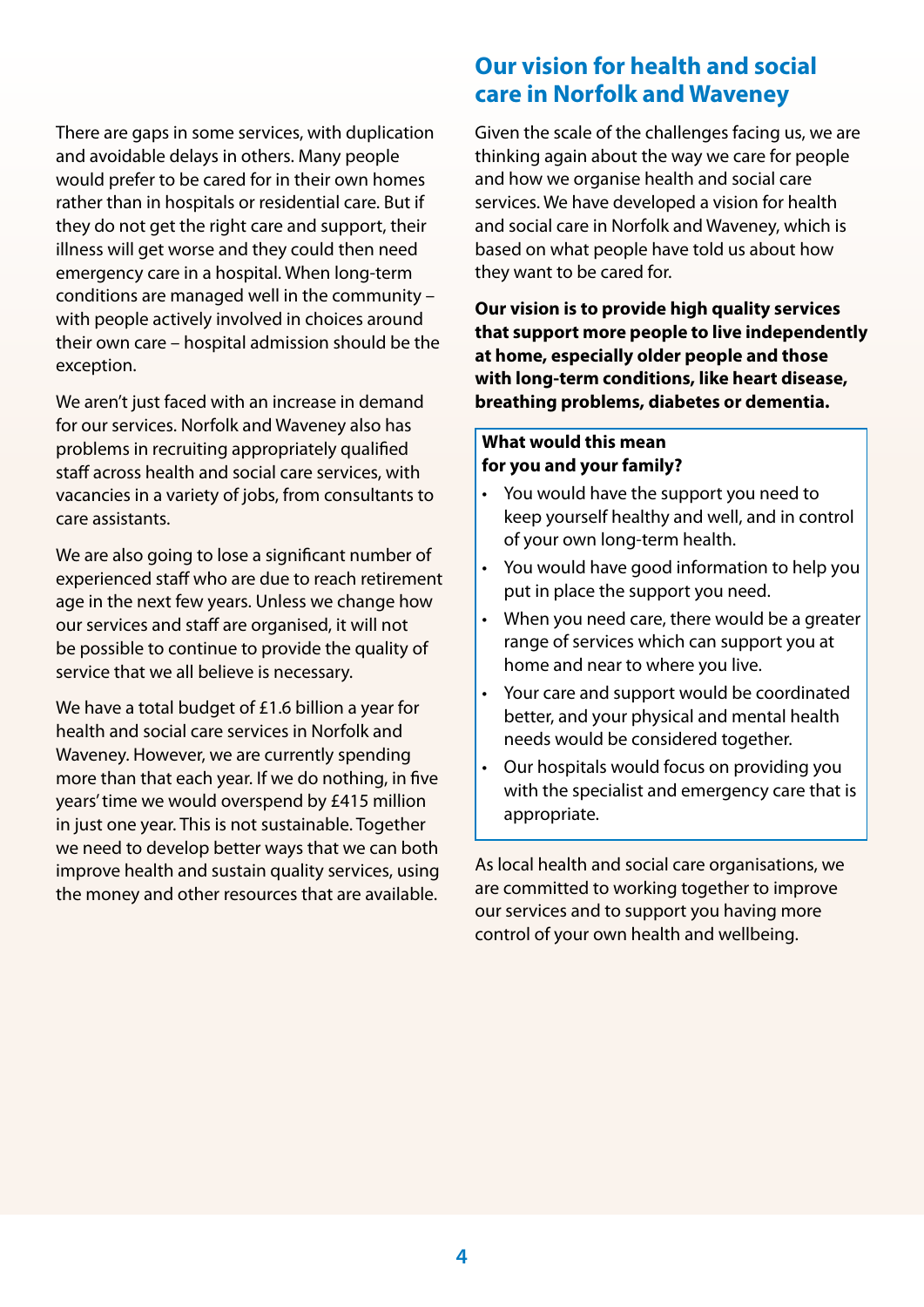There are gaps in some services, with duplication and avoidable delays in others. Many people would prefer to be cared for in their own homes rather than in hospitals or residential care. But if they do not get the right care and support, their illness will get worse and they could then need emergency care in a hospital. When long-term conditions are managed well in the community – with people actively involved in choices around their own care – hospital admission should be the exception.

We aren't just faced with an increase in demand for our services. Norfolk and Waveney also has problems in recruiting appropriately qualified staff across health and social care services, with vacancies in a variety of jobs, from consultants to care assistants.

We are also going to lose a significant number of experienced staff who are due to reach retirement age in the next few years. Unless we change how our services and staff are organised, it will not be possible to continue to provide the quality of service that we all believe is necessary.

We have a total budget of £1.6 billion a year for health and social care services in Norfolk and Waveney. However, we are currently spending more than that each year. If we do nothing, in five years' time we would overspend by £415 million in just one year. This is not sustainable. Together we need to develop better ways that we can both improve health and sustain quality services, using the money and other resources that are available.

## **Our vision for health and social care in Norfolk and Waveney**

Given the scale of the challenges facing us, we are thinking again about the way we care for people and how we organise health and social care services. We have developed a vision for health and social care in Norfolk and Waveney, which is based on what people have told us about how they want to be cared for.

**Our vision is to provide high quality services that support more people to live independently at home, especially older people and those with long-term conditions, like heart disease, breathing problems, diabetes or dementia.** 

#### **What would this mean for you and your family?**

- You would have the support you need to keep yourself healthy and well, and in control of your own long-term health.
- You would have good information to help you put in place the support you need.
- When you need care, there would be a greater range of services which can support you at home and near to where you live.
- Your care and support would be coordinated better, and your physical and mental health needs would be considered together.
- Our hospitals would focus on providing you with the specialist and emergency care that is appropriate.

As local health and social care organisations, we are committed to working together to improve our services and to support you having more control of your own health and wellbeing.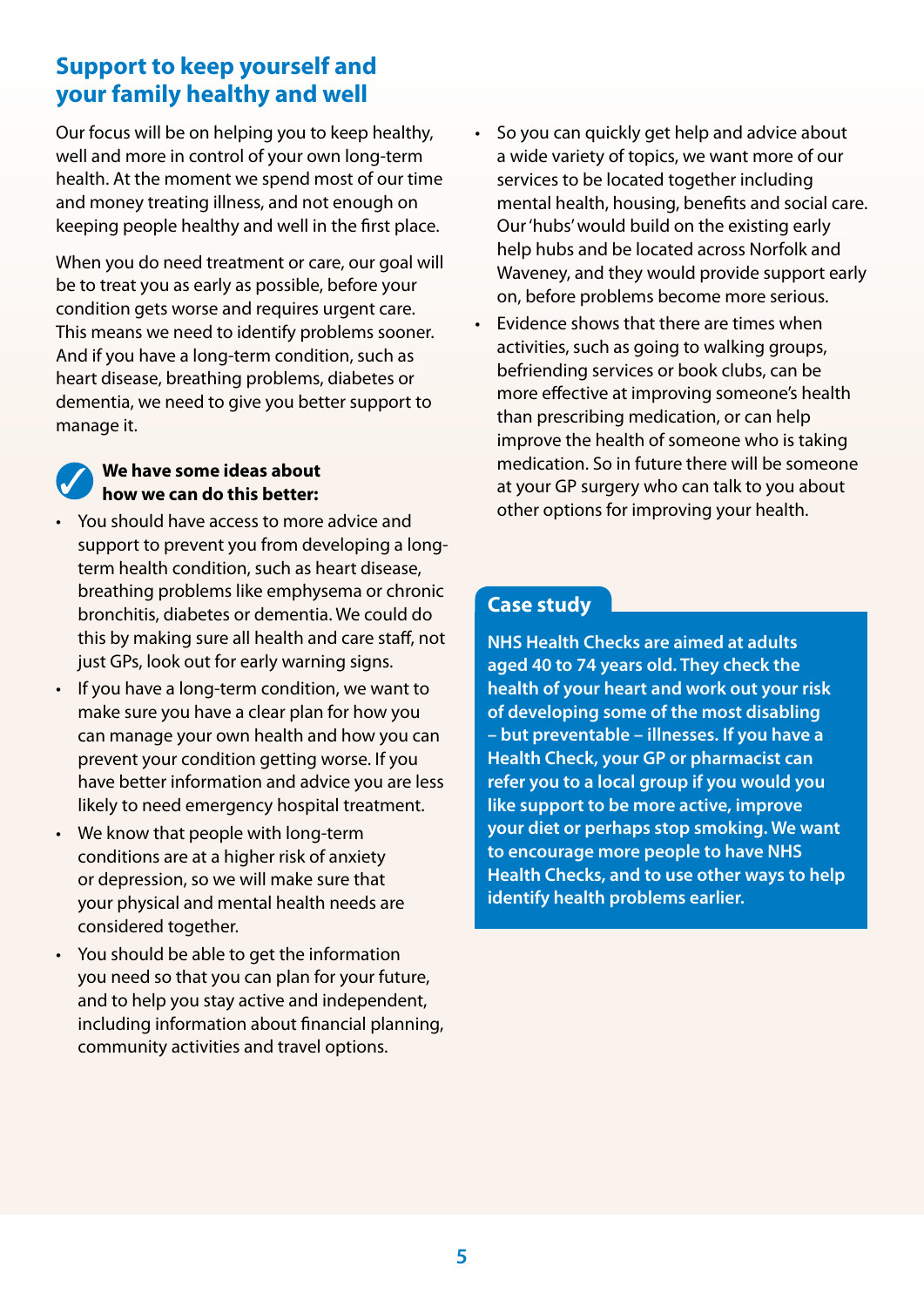## **Support to keep yourself and your family healthy and well**

Our focus will be on helping you to keep healthy, well and more in control of your own long-term health. At the moment we spend most of our time and money treating illness, and not enough on keeping people healthy and well in the first place.

When you do need treatment or care, our goal will be to treat you as early as possible, before your condition gets worse and requires urgent care. This means we need to identify problems sooner. And if you have a long-term condition, such as heart disease, breathing problems, diabetes or dementia, we need to give you better support to manage it.

#### **We have some ideas about how we can do this better:**

- You should have access to more advice and support to prevent you from developing a longterm health condition, such as heart disease, breathing problems like emphysema or chronic bronchitis, diabetes or dementia. We could do this by making sure all health and care staff, not just GPs, look out for early warning signs.
- If you have a long-term condition, we want to make sure you have a clear plan for how you can manage your own health and how you can prevent your condition getting worse. If you have better information and advice you are less likely to need emergency hospital treatment.
- We know that people with long-term conditions are at a higher risk of anxiety or depression, so we will make sure that your physical and mental health needs are considered together.
- You should be able to get the information you need so that you can plan for your future, and to help you stay active and independent, including information about financial planning, community activities and travel options.
- So you can quickly get help and advice about a wide variety of topics, we want more of our services to be located together including mental health, housing, benefits and social care. Our 'hubs' would build on the existing early help hubs and be located across Norfolk and Waveney, and they would provide support early on, before problems become more serious.
- Evidence shows that there are times when activities, such as going to walking groups, befriending services or book clubs, can be more effective at improving someone's health than prescribing medication, or can help improve the health of someone who is taking medication. So in future there will be someone at your GP surgery who can talk to you about other options for improving your health.

## **Case study**

**NHS Health Checks are aimed at adults aged 40 to 74 years old. They check the health of your heart and work out your risk of developing some of the most disabling – but preventable – illnesses. If you have a Health Check, your GP or pharmacist can refer you to a local group if you would you like support to be more active, improve your diet or perhaps stop smoking. We want to encourage more people to have NHS Health Checks, and to use other ways to help identify health problems earlier.**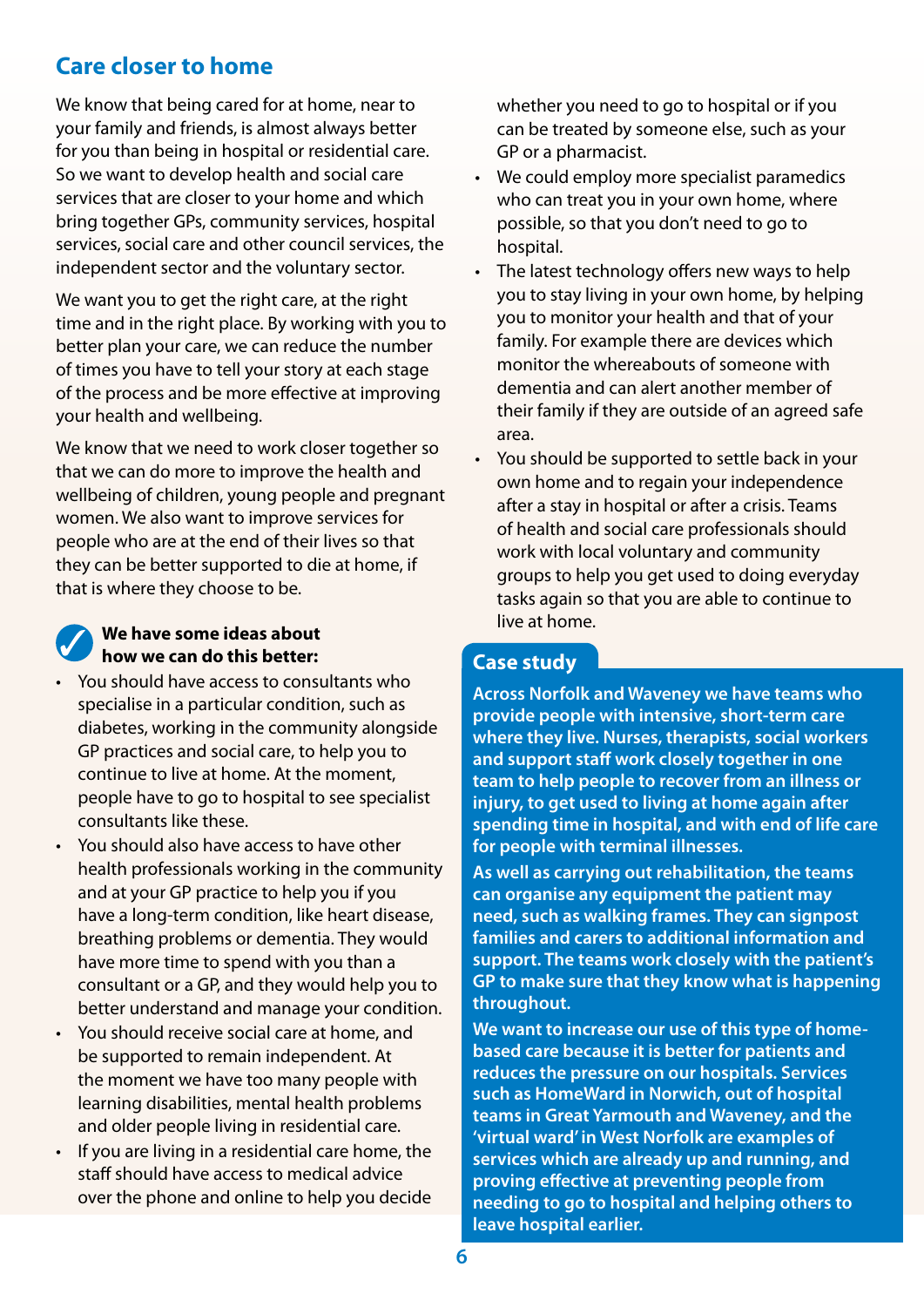## **Care closer to home**

We know that being cared for at home, near to your family and friends, is almost always better for you than being in hospital or residential care. So we want to develop health and social care services that are closer to your home and which bring together GPs, community services, hospital services, social care and other council services, the independent sector and the voluntary sector.

We want you to get the right care, at the right time and in the right place. By working with you to better plan your care, we can reduce the number of times you have to tell your story at each stage of the process and be more effective at improving your health and wellbeing.

We know that we need to work closer together so that we can do more to improve the health and wellbeing of children, young people and pregnant women. We also want to improve services for people who are at the end of their lives so that they can be better supported to die at home, if that is where they choose to be.

### **We have some ideas about how we can do this better:**

- You should have access to consultants who specialise in a particular condition, such as diabetes, working in the community alongside GP practices and social care, to help you to continue to live at home. At the moment, people have to go to hospital to see specialist consultants like these.
- You should also have access to have other health professionals working in the community and at your GP practice to help you if you have a long-term condition, like heart disease, breathing problems or dementia. They would have more time to spend with you than a consultant or a GP, and they would help you to better understand and manage your condition.
- You should receive social care at home, and be supported to remain independent. At the moment we have too many people with learning disabilities, mental health problems and older people living in residential care.
- If you are living in a residential care home, the staff should have access to medical advice over the phone and online to help you decide

whether you need to go to hospital or if you can be treated by someone else, such as your GP or a pharmacist.

- We could employ more specialist paramedics who can treat you in your own home, where possible, so that you don't need to go to hospital.
- The latest technology offers new ways to help you to stay living in your own home, by helping you to monitor your health and that of your family. For example there are devices which monitor the whereabouts of someone with dementia and can alert another member of their family if they are outside of an agreed safe area.
- You should be supported to settle back in your own home and to regain your independence after a stay in hospital or after a crisis. Teams of health and social care professionals should work with local voluntary and community groups to help you get used to doing everyday tasks again so that you are able to continue to live at home.

## **Case study**

**Across Norfolk and Waveney we have teams who provide people with intensive, short-term care where they live. Nurses, therapists, social workers and support staff work closely together in one team to help people to recover from an illness or injury, to get used to living at home again after spending time in hospital, and with end of life care for people with terminal illnesses.** 

**As well as carrying out rehabilitation, the teams can organise any equipment the patient may need, such as walking frames. They can signpost families and carers to additional information and support. The teams work closely with the patient's GP to make sure that they know what is happening throughout.** 

**We want to increase our use of this type of homebased care because it is better for patients and reduces the pressure on our hospitals. Services such as HomeWard in Norwich, out of hospital teams in Great Yarmouth and Waveney, and the 'virtual ward' in West Norfolk are examples of services which are already up and running, and proving effective at preventing people from needing to go to hospital and helping others to leave hospital earlier.**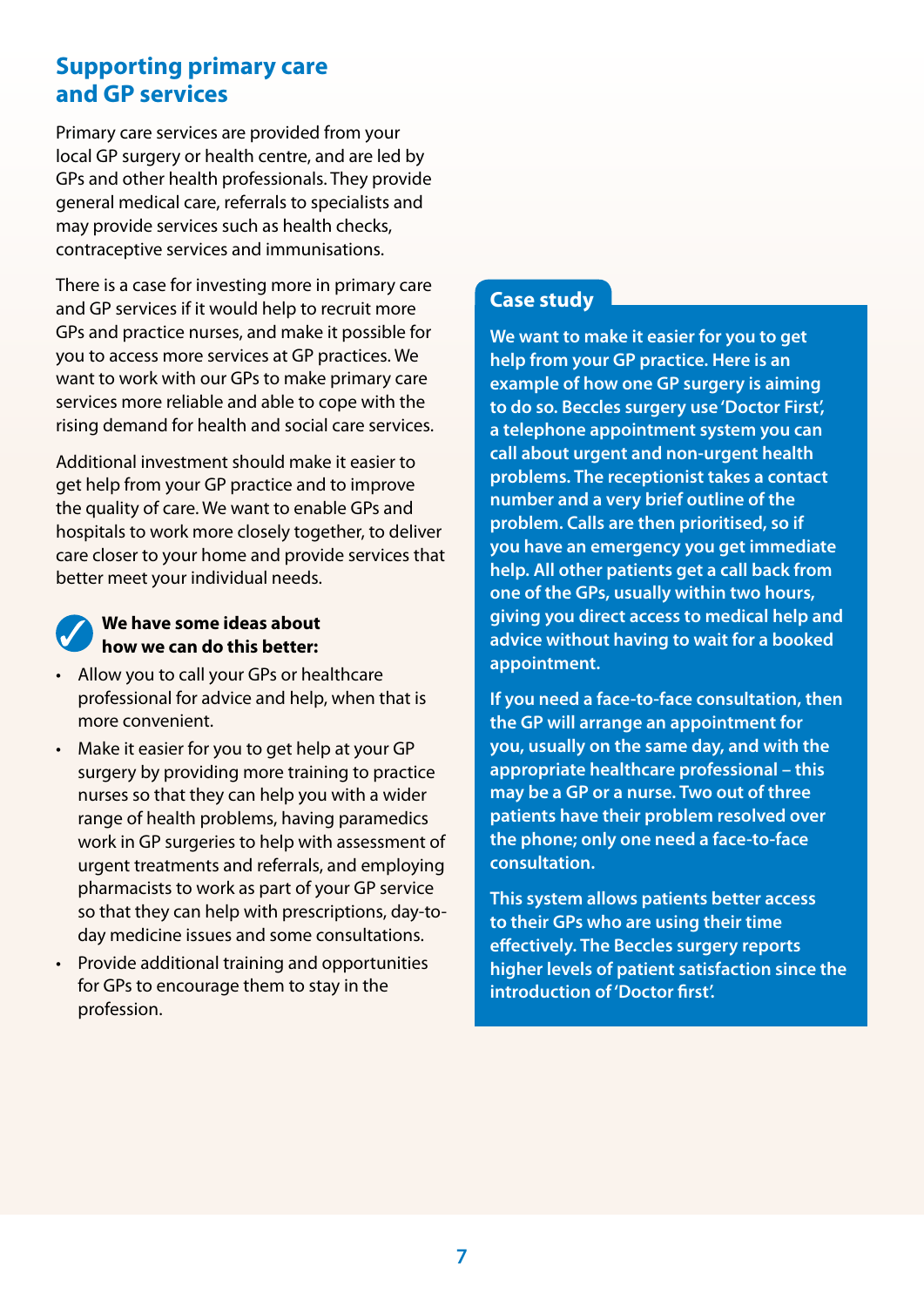## **Supporting primary care and GP services**

Primary care services are provided from your local GP surgery or health centre, and are led by GPs and other health professionals. They provide general medical care, referrals to specialists and may provide services such as health checks, contraceptive services and immunisations.

There is a case for investing more in primary care and GP services if it would help to recruit more GPs and practice nurses, and make it possible for you to access more services at GP practices. We want to work with our GPs to make primary care services more reliable and able to cope with the rising demand for health and social care services.

Additional investment should make it easier to get help from your GP practice and to improve the quality of care. We want to enable GPs and hospitals to work more closely together, to deliver care closer to your home and provide services that better meet your individual needs.

#### **We have some ideas about how we can do this better:**

- Allow you to call your GPs or healthcare professional for advice and help, when that is more convenient.
- Make it easier for you to get help at your GP surgery by providing more training to practice nurses so that they can help you with a wider range of health problems, having paramedics work in GP surgeries to help with assessment of urgent treatments and referrals, and employing pharmacists to work as part of your GP service so that they can help with prescriptions, day-today medicine issues and some consultations.
- Provide additional training and opportunities for GPs to encourage them to stay in the profession.

## **Case study**

**We want to make it easier for you to get help from your GP practice. Here is an example of how one GP surgery is aiming to do so. Beccles surgery use 'Doctor First', a telephone appointment system you can call about urgent and non-urgent health problems. The receptionist takes a contact number and a very brief outline of the problem. Calls are then prioritised, so if you have an emergency you get immediate help. All other patients get a call back from one of the GPs, usually within two hours, giving you direct access to medical help and advice without having to wait for a booked appointment.** 

**If you need a face-to-face consultation, then the GP will arrange an appointment for you, usually on the same day, and with the appropriate healthcare professional – this may be a GP or a nurse. Two out of three patients have their problem resolved over the phone; only one need a face-to-face consultation.** 

**This system allows patients better access to their GPs who are using their time effectively. The Beccles surgery reports higher levels of patient satisfaction since the introduction of 'Doctor first'.**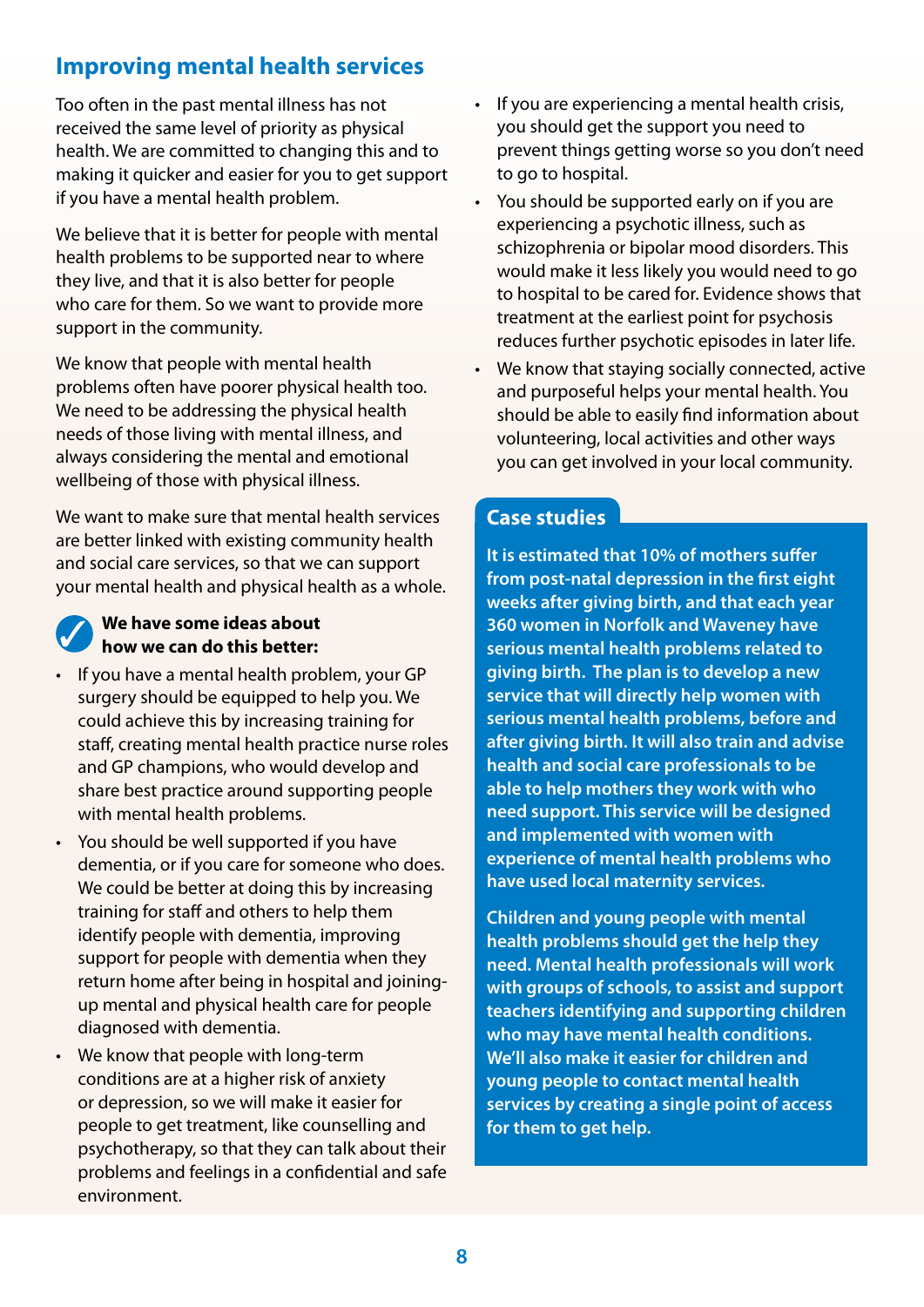## **Improving mental health services**

Too often in the past mental illness has not received the same level of priority as physical health. We are committed to changing this and to making it quicker and easier for you to get support if you have a mental health problem.

We believe that it is better for people with mental health problems to be supported near to where they live, and that it is also better for people who care for them. So we want to provide more support in the community.

We know that people with mental health problems often have poorer physical health too. We need to be addressing the physical health needs of those living with mental illness, and always considering the mental and emotional wellbeing of those with physical illness.

We want to make sure that mental health services are better linked with existing community health and social care services, so that we can support your mental health and physical health as a whole.

#### **We have some ideas about how we can do this better:**

- If you have a mental health problem, your GP surgery should be equipped to help you. We could achieve this by increasing training for staff, creating mental health practice nurse roles and GP champions, who would develop and share best practice around supporting people with mental health problems.
- You should be well supported if you have dementia, or if you care for someone who does. We could be better at doing this by increasing training for staff and others to help them identify people with dementia, improving support for people with dementia when they return home after being in hospital and joiningup mental and physical health care for people diagnosed with dementia.
- We know that people with long-term conditions are at a higher risk of anxiety or depression, so we will make it easier for people to get treatment, like counselling and psychotherapy, so that they can talk about their problems and feelings in a confidential and safe environment.
- If you are experiencing a mental health crisis, you should get the support you need to prevent things getting worse so you don't need to go to hospital.
- You should be supported early on if you are experiencing a psychotic illness, such as schizophrenia or bipolar mood disorders. This would make it less likely you would need to go to hospital to be cared for. Evidence shows that treatment at the earliest point for psychosis reduces further psychotic episodes in later life.
- We know that staying socially connected, active and purposeful helps your mental health. You should be able to easily find information about volunteering, local activities and other ways you can get involved in your local community.

#### **Case studies**

**It is estimated that 10% of mothers suffer from post-natal depression in the first eight weeks after giving birth, and that each year 360 women in Norfolk and Waveney have serious mental health problems related to giving birth. The plan is to develop a new service that will directly help women with serious mental health problems, before and after giving birth. It will also train and advise health and social care professionals to be able to help mothers they work with who need support. This service will be designed and implemented with women with experience of mental health problems who have used local maternity services.** 

**Children and young people with mental health problems should get the help they need. Mental health professionals will work with groups of schools, to assist and support teachers identifying and supporting children who may have mental health conditions. We'll also make it easier for children and young people to contact mental health services by creating a single point of access for them to get help.**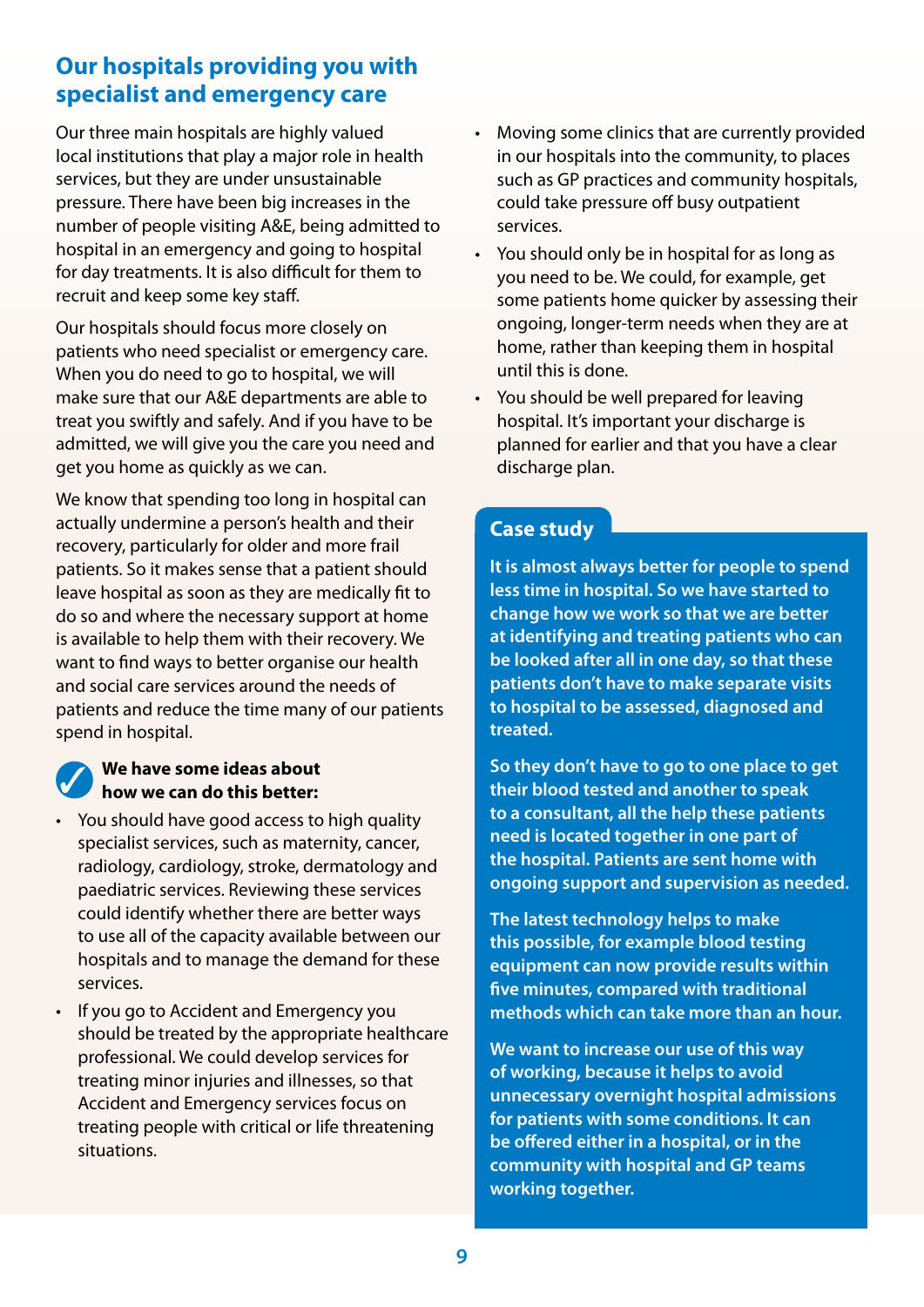## **Our hospitals providing you with specialist and emergency care**

Our three main hospitals are highly valued local institutions that play a major role in health services, but they are under unsustainable pressure. There have been big increases in the number of people visiting A&E, being admitted to hospital in an emergency and going to hospital for day treatments. It is also difficult for them to recruit and keep some key staff.

Our hospitals should focus more closely on patients who need specialist or emergency care. When you do need to go to hospital, we will make sure that our A&E departments are able to treat you swiftly and safely. And if you have to be admitted, we will give you the care you need and get you home as quickly as we can.

We know that spending too long in hospital can actually undermine a person's health and their recovery, particularly for older and more frail patients. So it makes sense that a patient should leave hospital as soon as they are medically fit to do so and where the necessary support at home is available to help them with their recovery. We want to find ways to better organise our health and social care services around the needs of patients and reduce the time many of our patients spend in hospital.

#### **We have some ideas about how we can do this better:**

- You should have good access to high quality specialist services, such as maternity, cancer, radiology, cardiology, stroke, dermatology and paediatric services. Reviewing these services could identify whether there are better ways to use all of the capacity available between our hospitals and to manage the demand for these services.
- If you go to Accident and Emergency you should be treated by the appropriate healthcare professional. We could develop services for treating minor injuries and illnesses, so that Accident and Emergency services focus on treating people with critical or life threatening situations.
- Moving some clinics that are currently provided in our hospitals into the community, to places such as GP practices and community hospitals, could take pressure off busy outpatient services.
- You should only be in hospital for as long as you need to be. We could, for example, get some patients home quicker by assessing their ongoing, longer-term needs when they are at home, rather than keeping them in hospital until this is done.
- You should be well prepared for leaving hospital. It's important your discharge is planned for earlier and that you have a clear discharge plan.

## **Case study**

**It is almost always better for people to spend less time in hospital. So we have started to change how we work so that we are better at identifying and treating patients who can be looked after all in one day, so that these patients don't have to make separate visits to hospital to be assessed, diagnosed and treated.** 

**So they don't have to go to one place to get their blood tested and another to speak to a consultant, all the help these patients need is located together in one part of the hospital. Patients are sent home with ongoing support and supervision as needed.** 

**The latest technology helps to make this possible, for example blood testing equipment can now provide results within five minutes, compared with traditional methods which can take more than an hour.** 

**We want to increase our use of this way of working, because it helps to avoid unnecessary overnight hospital admissions for patients with some conditions. It can be offered either in a hospital, or in the community with hospital and GP teams working together.**